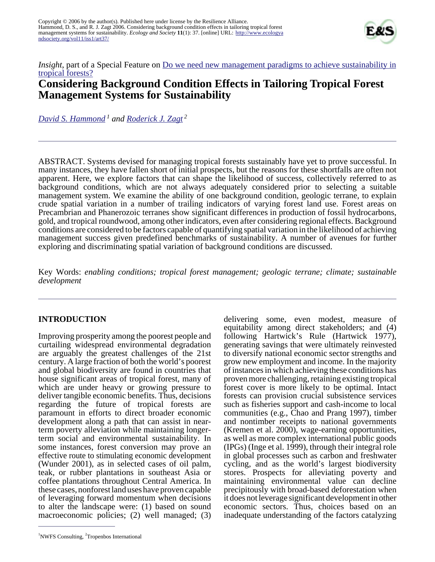

*Insight*, part of a Special Feature on <u>[Do we need new management paradigms to achieve sustainability in](http://www.ecologyandsociety.org/viewissue.php?sf=27)</u> [tropical forests?](http://www.ecologyandsociety.org/viewissue.php?sf=27)

# **Considering Background Condition Effects in Tailoring Tropical Forest Management Systems for Sustainability**

*[David S. Hammond](mailto:dhammond@nwfs.biz)<sup>1</sup> and [Roderick J. Zagt](mailto:Roderick.Zagt@tropenbos.org)<sup>2</sup>*

ABSTRACT. Systems devised for managing tropical forests sustainably have yet to prove successful. In many instances, they have fallen short of initial prospects, but the reasons for these shortfalls are often not apparent. Here, we explore factors that can shape the likelihood of success, collectively referred to as background conditions, which are not always adequately considered prior to selecting a suitable management system. We examine the ability of one background condition, geologic terrane, to explain crude spatial variation in a number of trailing indicators of varying forest land use. Forest areas on Precambrian and Phanerozoic terranes show significant differences in production of fossil hydrocarbons, gold, and tropical roundwood, among other indicators, even after considering regional effects. Background conditions are considered to be factors capable of quantifying spatial variation in the likelihood of achieving management success given predefined benchmarks of sustainability. A number of avenues for further exploring and discriminating spatial variation of background conditions are discussed.

Key Words: *enabling conditions; tropical forest management; geologic terrane; climate; sustainable development*

# **INTRODUCTION**

Improving prosperity among the poorest people and curtailing widespread environmental degradation are arguably the greatest challenges of the 21st century. A large fraction of both the world's poorest and global biodiversity are found in countries that house significant areas of tropical forest, many of which are under heavy or growing pressure to deliver tangible economic benefits. Thus, decisions regarding the future of tropical forests are paramount in efforts to direct broader economic development along a path that can assist in nearterm poverty alleviation while maintaining longerterm social and environmental sustainability. In some instances, forest conversion may prove an effective route to stimulating economic development (Wunder 2001), as in selected cases of oil palm, teak, or rubber plantations in southeast Asia or coffee plantations throughout Central America. In these cases, nonforest land uses have proven capable of leveraging forward momentum when decisions to alter the landscape were: (1) based on sound macroeconomic policies; (2) well managed; (3)

<sup>1</sup>NWFS Consulting, <sup>2</sup>Tropenbos International

delivering some, even modest, measure of equitability among direct stakeholders; and (4) following Hartwick's Rule (Hartwick 1977), generating savings that were ultimately reinvested to diversify national economic sector strengths and grow new employment and income. In the majority of instances in which achieving these conditions has proven more challenging, retaining existing tropical forest cover is more likely to be optimal. Intact forests can provision crucial subsistence services such as fisheries support and cash-income to local communities (e.g., Chao and Prang 1997), timber and nontimber receipts to national governments (Kremen et al. 2000), wage-earning opportunities, as well as more complex international public goods (IPGs) (Inge et al. 1999), through their integral role in global processes such as carbon and freshwater cycling, and as the world's largest biodiversity stores. Prospects for alleviating poverty and maintaining environmental value can decline precipitously with broad-based deforestation when it does not leverage significant development in other economic sectors. Thus, choices based on an inadequate understanding of the factors catalyzing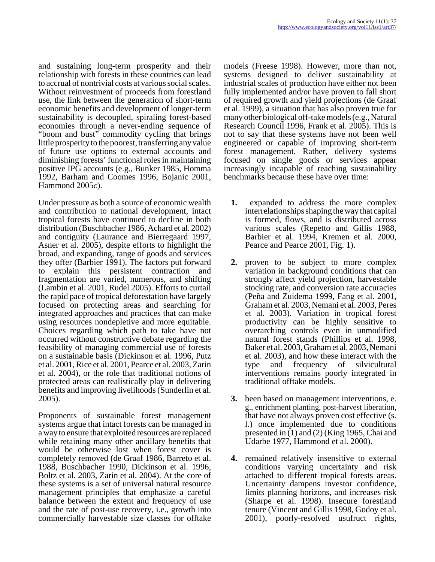and sustaining long-term prosperity and their relationship with forests in these countries can lead to accrual of nontrivial costs at various social scales. Without reinvestment of proceeds from forestland use, the link between the generation of short-term economic benefits and development of longer-term sustainability is decoupled, spiraling forest-based economies through a never-ending sequence of "boom and bust" commodity cycling that brings little prosperity to the poorest, transferring any value of future use options to external accounts and diminishing forests' functional roles in maintaining positive IPG accounts (e.g., Bunker 1985, Homma 1992, Barham and Coomes 1996, Bojanic 2001, Hammond 2005*c*).

Under pressure as both a source of economic wealth and contribution to national development, intact tropical forests have continued to decline in both distribution (Buschbacher 1986, Achard et al. 2002) and contiguity (Laurance and Bierregaard 1997, Asner et al. 2005), despite efforts to highlight the broad, and expanding, range of goods and services they offer (Barbier 1991). The factors put forward to explain this persistent contraction and fragmentation are varied, numerous, and shifting (Lambin et al. 2001, Rudel 2005). Efforts to curtail the rapid pace of tropical deforestation have largely focused on protecting areas and searching for integrated approaches and practices that can make using resources nondepletive and more equitable. Choices regarding which path to take have not occurred without constructive debate regarding the feasibility of managing commercial use of forests on a sustainable basis (Dickinson et al. 1996, Putz et al. 2001, Rice et al. 2001, Pearce et al. 2003, Zarin et al. 2004), or the role that traditional notions of protected areas can realistically play in delivering benefits and improving livelihoods (Sunderlin et al. 2005).

Proponents of sustainable forest management systems argue that intact forests can be managed in a way to ensure that exploited resources are replaced while retaining many other ancillary benefits that would be otherwise lost when forest cover is completely removed (de Graaf 1986, Barreto et al. 1988, Buschbacher 1990, Dickinson et al. 1996, Boltz et al. 2003, Zarin et al. 2004). At the core of these systems is a set of universal natural resource management principles that emphasize a careful balance between the extent and frequency of use and the rate of post-use recovery, i.e., growth into commercially harvestable size classes for offtake

models (Freese 1998). However, more than not, systems designed to deliver sustainability at industrial scales of production have either not been fully implemented and/or have proven to fall short of required growth and yield projections (de Graaf et al. 1999), a situation that has also proven true for many other biological off-take models (e.g., Natural Research Council 1996, Frank et al. 2005). This is not to say that these systems have not been well engineered or capable of improving short-term forest management. Rather, delivery systems focused on single goods or services appear increasingly incapable of reaching sustainability benchmarks because these have over time:

- **1.** expanded to address the more complex interrelationships shaping the way that capital is formed, flows, and is distributed across various scales (Repetto and Gillis 1988, Barbier et al. 1994, Kremen et al. 2000, Pearce and Pearce 2001, Fig. 1).
- **2.** proven to be subject to more complex variation in background conditions that can strongly affect yield projection, harvestable stocking rate, and conversion rate accuracies (Peña and Zuidema 1999, Fang et al. 2001, Graham et al. 2003, Nemani et al. 2003, Peres et al. 2003). Variation in tropical forest productivity can be highly sensitive to overarching controls even in unmodified natural forest stands (Phillips et al. 1998, Baker et al. 2003, Graham et al. 2003, Nemani et al. 2003), and how these interact with the type and frequency of silvicultural interventions remains poorly integrated in traditional offtake models.
- **3.** been based on management interventions, e. g., enrichment planting, post-harvest liberation, that have not always proven cost effective (s. l.) once implemented due to conditions presented in (1) and (2) (King 1965, Chai and Udarbe 1977, Hammond et al. 2000).
- **4.** remained relatively insensitive to external conditions varying uncertainty and risk attached to different tropical forests areas. Uncertainty dampens investor confidence, limits planning horizons, and increases risk (Sharpe et al. 1998). Insecure forestland tenure (Vincent and Gillis 1998, Godoy et al. 2001), poorly-resolved usufruct rights,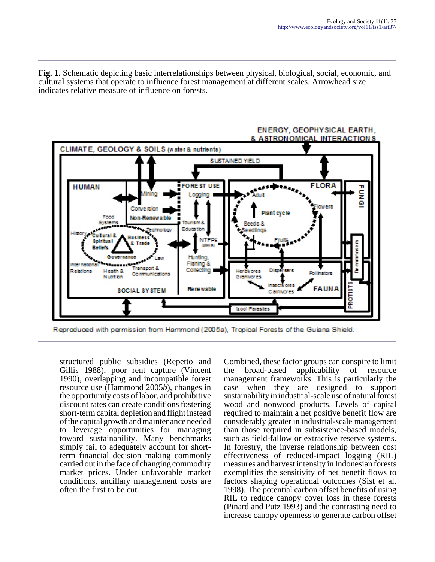**Fig. 1.** Schematic depicting basic interrelationships between physical, biological, social, economic, and cultural systems that operate to influence forest management at different scales. Arrowhead size indicates relative measure of influence on forests.



Reproduced with permission from Hammond (2005a), Tropical Forests of the Guiana Shield.

structured public subsidies (Repetto and Gillis 1988), poor rent capture (Vincent 1990), overlapping and incompatible forest resource use (Hammond 2005*b*), changes in the opportunity costs of labor, and prohibitive discount rates can create conditions fostering short-term capital depletion and flight instead of the capital growth and maintenance needed to leverage opportunities for managing toward sustainability. Many benchmarks simply fail to adequately account for shortterm financial decision making commonly carried out in the face of changing commodity market prices. Under unfavorable market conditions, ancillary management costs are often the first to be cut.

Combined, these factor groups can conspire to limit the broad-based applicability of resource management frameworks. This is particularly the case when they are designed to support sustainability in industrial-scale use of natural forest wood and nonwood products. Levels of capital required to maintain a net positive benefit flow are considerably greater in industrial-scale management than those required in subsistence-based models, such as field-fallow or extractive reserve systems. In forestry, the inverse relationship between cost effectiveness of reduced-impact logging (RIL) measures and harvest intensity in Indonesian forests exemplifies the sensitivity of net benefit flows to factors shaping operational outcomes (Sist et al. 1998). The potential carbon offset benefits of using RIL to reduce canopy cover loss in these forests (Pinard and Putz 1993) and the contrasting need to increase canopy openness to generate carbon offset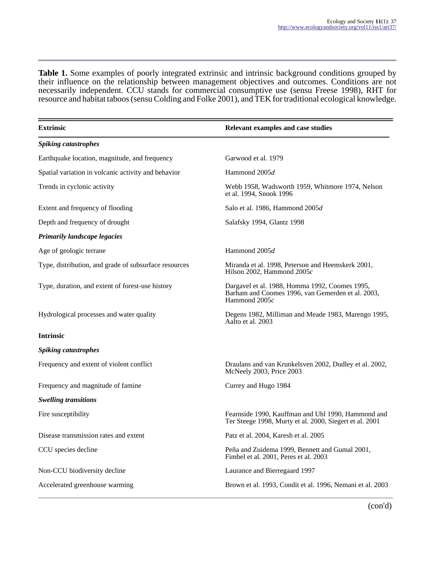**Table 1.** Some examples of poorly integrated extrinsic and intrinsic background conditions grouped by their influence on the relationship between management objectives and outcomes. Conditions are not necessarily independent. CCU stands for commercial consumptive use (sensu Freese 1998), RHT for resource and habitat taboos (sensu Colding and Folke 2001), and TEK for traditional ecological knowledge.

| <b>Extrinsic</b>                                      | Relevant examples and case studies                                                                                     |
|-------------------------------------------------------|------------------------------------------------------------------------------------------------------------------------|
| <b>Spiking catastrophes</b>                           |                                                                                                                        |
| Earthquake location, magnitude, and frequency         | Garwood et al. 1979                                                                                                    |
| Spatial variation in volcanic activity and behavior   | Hammond 2005d                                                                                                          |
| Trends in cyclonic activity                           | Webb 1958, Wadsworth 1959, Whitmore 1974, Nelson<br>et al. 1994, Snook 1996                                            |
| Extent and frequency of flooding                      | Salo et al. 1986, Hammond 2005d                                                                                        |
| Depth and frequency of drought                        | Salafsky 1994, Glantz 1998                                                                                             |
| <b>Primarily landscape legacies</b>                   |                                                                                                                        |
| Age of geologic terrane                               | Hammond 2005d                                                                                                          |
| Type, distribution, and grade of subsurface resources | Miranda et al. 1998, Peterson and Heemskerk 2001,<br>Hilson 2002, Hammond 2005c                                        |
| Type, duration, and extent of forest-use history      | Dargavel et al. 1988, Homma 1992, Coomes 1995,<br>Barham and Coomes 1996, van Gemerden et al. 2003,<br>Hammond $2005c$ |
| Hydrological processes and water quality              | Degens 1982, Milliman and Meade 1983, Marengo 1995,<br>Aalto et al. 2003                                               |
| <b>Intrinsic</b>                                      |                                                                                                                        |
| <b>Spiking catastrophes</b>                           |                                                                                                                        |
| Frequency and extent of violent conflict              | Draulans and van Krunkelsven 2002, Dudley et al. 2002,<br>McNeely 2003, Price 2003                                     |
| Frequency and magnitude of famine                     | Currey and Hugo 1984                                                                                                   |
| <b>Swelling transitions</b>                           |                                                                                                                        |
| Fire susceptibility                                   | Fearnside 1990, Kauffman and Uhl 1990, Hammond and<br>Ter Steege 1998, Murty et al. 2000, Siegert et al. 2001          |
| Disease transmission rates and extent                 | Patz et al. 2004, Karesh et al. 2005                                                                                   |
| CCU species decline                                   | Peña and Zuidema 1999, Bennett and Gumal 2001,<br>Fimbel et al. 2001, Peres et al. 2003                                |
| Non-CCU biodiversity decline                          | Laurance and Bierregaard 1997                                                                                          |
| Accelerated greenhouse warming                        | Brown et al. 1993, Condit et al. 1996, Nemani et al. 2003                                                              |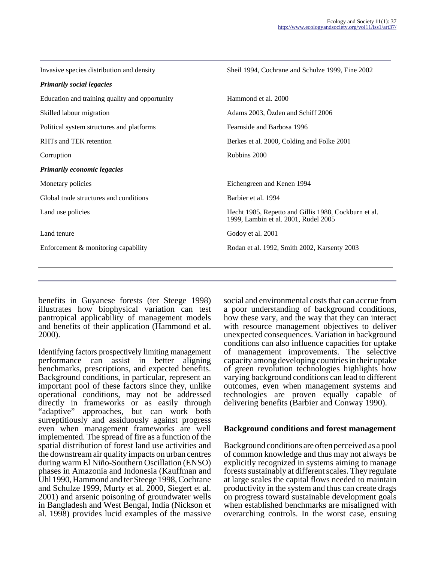| Invasive species distribution and density      | Sheil 1994, Cochrane and Schulze 1999, Fine 2002                                             |  |  |
|------------------------------------------------|----------------------------------------------------------------------------------------------|--|--|
| <b>Primarily social legacies</b>               |                                                                                              |  |  |
| Education and training quality and opportunity | Hammond et al. 2000                                                                          |  |  |
| Skilled labour migration                       | Adams 2003, Özden and Schiff 2006                                                            |  |  |
| Political system structures and platforms      | Fearnside and Barbosa 1996                                                                   |  |  |
| RHTs and TEK retention                         | Berkes et al. 2000, Colding and Folke 2001                                                   |  |  |
| Corruption                                     | Robbins 2000                                                                                 |  |  |
| <b>Primarily economic legacies</b>             |                                                                                              |  |  |
| Monetary policies                              | Eichengreen and Kenen 1994                                                                   |  |  |
| Global trade structures and conditions         | Barbier et al. 1994                                                                          |  |  |
| Land use policies                              | Hecht 1985, Repetto and Gillis 1988, Cockburn et al.<br>1999, Lambin et al. 2001, Rudel 2005 |  |  |
| Land tenure                                    | Godoy et al. 2001                                                                            |  |  |
| Enforcement & monitoring capability            | Rodan et al. 1992, Smith 2002, Karsenty 2003                                                 |  |  |
|                                                |                                                                                              |  |  |
|                                                |                                                                                              |  |  |

benefits in Guyanese forests (ter Steege 1998) illustrates how biophysical variation can test pantropical applicability of management models and benefits of their application (Hammond et al. 2000).

Identifying factors prospectively limiting management performance can assist in better aligning benchmarks, prescriptions, and expected benefits. Background conditions, in particular, represent an important pool of these factors since they, unlike operational conditions, may not be addressed directly in frameworks or as easily through "adaptive" approaches, but can work both surreptitiously and assiduously against progress even when management frameworks are well implemented. The spread of fire as a function of the spatial distribution of forest land use activities and the downstream air quality impacts on urban centres during warm El Niño-Southern Oscillation (ENSO) phases in Amazonia and Indonesia (Kauffman and Uhl 1990, Hammond and ter Steege 1998, Cochrane and Schulze 1999, Murty et al. 2000, Siegert et al. 2001) and arsenic poisoning of groundwater wells in Bangladesh and West Bengal, India (Nickson et al. 1998) provides lucid examples of the massive

social and environmental costs that can accrue from a poor understanding of background conditions, how these vary, and the way that they can interact with resource management objectives to deliver unexpected consequences. Variation in background conditions can also influence capacities for uptake of management improvements. The selective capacity among developing countries in their uptake of green revolution technologies highlights how varying background conditions can lead to different outcomes, even when management systems and technologies are proven equally capable of delivering benefits (Barbier and Conway 1990).

# **Background conditions and forest management**

Background conditions are often perceived as a pool of common knowledge and thus may not always be explicitly recognized in systems aiming to manage forests sustainably at different scales. They regulate at large scales the capital flows needed to maintain productivity in the system and thus can create drags on progress toward sustainable development goals when established benchmarks are misaligned with overarching controls. In the worst case, ensuing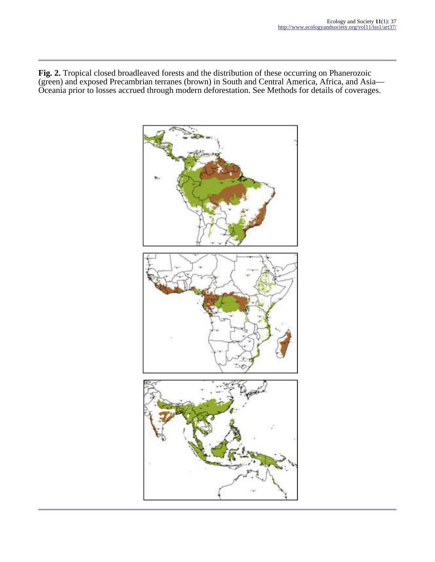**Fig. 2.** Tropical closed broadleaved forests and the distribution of these occurring on Phanerozoic (green) and exposed Precambrian terranes (brown) in South and Central America, Africa, and Asia— Oceania prior to losses accrued through modern deforestation. See Methods for details of coverages.

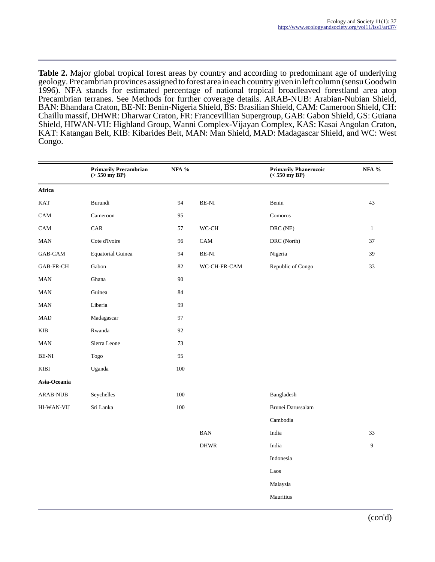**Table 2.** Major global tropical forest areas by country and according to predominant age of underlying geology. Precambrian provinces assigned to forest area in each country given in left column (sensu Goodwin 1996). NFA stands for estimated percentage of national tropical broadleaved forestland area atop Precambrian terranes. See Methods for further coverage details. ARAB-NUB: Arabian-Nubian Shield, BAN: Bhandara Craton, BE-NI: Benin-Nigeria Shield, BS: Brasilian Shield, CAM: Cameroon Shield, CH: Chaillu massif, DHWR: Dharwar Craton, FR: Francevillian Supergroup, GAB: Gabon Shield, GS: Guiana Shield, HIWAN-VIJ: Highland Group, Wanni Complex-Vijayan Complex, KAS: Kasai Angolan Craton, KAT: Katangan Belt, KIB: Kibarides Belt, MAN: Man Shield, MAD: Madagascar Shield, and WC: West Congo.

|                 | <b>Primarily Precambrian</b><br>(> 550 my BP) | NFA %  |                        | <b>Primarily Phanerozoic</b><br>(< 550 my BP) | NFA %        |
|-----------------|-----------------------------------------------|--------|------------------------|-----------------------------------------------|--------------|
| Africa          |                                               |        |                        |                                               |              |
| KAT             | Burundi                                       | 94     | $\operatorname{BE-NI}$ | Benin                                         | 43           |
| CAM             | Cameroon                                      | 95     |                        | Comoros                                       |              |
| CAM             | $\rm CAR$                                     | 57     | WC-CH                  | DRC (NE)                                      | $\mathbf{1}$ |
| <b>MAN</b>      | Cote d'Ivoire                                 | 96     | CAM                    | DRC (North)                                   | 37           |
| GAB-CAM         | <b>Equatorial Guinea</b>                      | 94     | BE-NI                  | Nigeria                                       | 39           |
| GAB-FR-CH       | Gabon                                         | 82     | WC-CH-FR-CAM           | Republic of Congo                             | 33           |
| <b>MAN</b>      | Ghana                                         | $90\,$ |                        |                                               |              |
| <b>MAN</b>      | Guinea                                        | 84     |                        |                                               |              |
| <b>MAN</b>      | Liberia                                       | 99     |                        |                                               |              |
| <b>MAD</b>      | Madagascar                                    | 97     |                        |                                               |              |
| KIB             | Rwanda                                        | 92     |                        |                                               |              |
| <b>MAN</b>      | Sierra Leone                                  | 73     |                        |                                               |              |
| <b>BE-NI</b>    | Togo                                          | 95     |                        |                                               |              |
| <b>KIBI</b>     | Uganda                                        | 100    |                        |                                               |              |
| Asia-Oceania    |                                               |        |                        |                                               |              |
| <b>ARAB-NUB</b> | Seychelles                                    | 100    |                        | Bangladesh                                    |              |
| HI-WAN-VIJ      | Sri Lanka                                     | 100    |                        | Brunei Darussalam                             |              |
|                 |                                               |        |                        | Cambodia                                      |              |
|                 |                                               |        | <b>BAN</b>             | India                                         | 33           |
|                 |                                               |        | <b>DHWR</b>            | India                                         | 9            |
|                 |                                               |        |                        | Indonesia                                     |              |
|                 |                                               |        |                        | Laos                                          |              |
|                 |                                               |        |                        | Malaysia                                      |              |
|                 |                                               |        |                        | Mauritius                                     |              |
|                 |                                               |        |                        |                                               |              |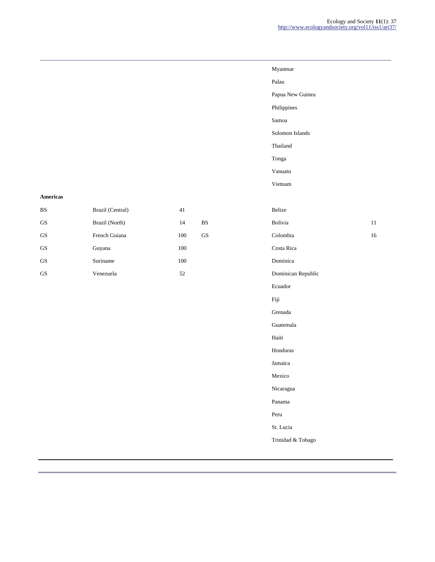|                        |                  |         |                        | $\boldsymbol{\mathrm{Myanmar}}$      |        |
|------------------------|------------------|---------|------------------------|--------------------------------------|--------|
|                        |                  |         |                        | $\operatorname{Palau}$               |        |
|                        |                  |         |                        | Papua New Guinea                     |        |
|                        |                  |         |                        | Philippines                          |        |
|                        |                  |         |                        | $\operatorname{Samoa}$               |        |
|                        |                  |         |                        | Solomon Islands                      |        |
|                        |                  |         |                        | Thailand                             |        |
|                        |                  |         |                        | Tonga                                |        |
|                        |                  |         |                        | Vanuatu                              |        |
|                        |                  |         |                        | Vietnam                              |        |
| Americas               |                  |         |                        |                                      |        |
| $_{\rm BS}$            | Brazil (Central) | 41      |                        | Belize                               |        |
| $\mathbf{G}\mathbf{S}$ | Brazil (North)   | $14\,$  | $\mathbf{B}\mathbf{S}$ | Bolivia                              | 11     |
| $\mathbf{G}\mathbf{S}$ | French Guiana    | $100\,$ | ${\rm GS}$             | $\operatorname{Colombia}$            | $16\,$ |
| $\mathbf{G}\mathbf{S}$ | Guyana           | 100     |                        | $\operatorname{Costa}\nolimits$ Rica |        |
| $\mathbf{G}\mathbf{S}$ | Suriname         | 100     |                        | Dominica                             |        |
| $\operatorname{GS}$    | Venezuela        | 52      |                        | Dominican Republic                   |        |
|                        |                  |         |                        | Ecuador                              |        |
|                        |                  |         |                        | Fiji                                 |        |
|                        |                  |         |                        | Grenada                              |        |
|                        |                  |         |                        | Guatemala                            |        |
|                        |                  |         |                        | Haiti                                |        |
|                        |                  |         |                        | Honduras                             |        |
|                        |                  |         |                        | Jamaica                              |        |
|                        |                  |         |                        | Mexico                               |        |
|                        |                  |         |                        | Nicaragua                            |        |
|                        |                  |         |                        | $\mbox{Panama}$                      |        |
|                        |                  |         |                        | Peru                                 |        |
|                        |                  |         |                        | St. Lucia                            |        |
|                        |                  |         |                        | Trinidad & Tobago                    |        |
|                        |                  |         |                        |                                      |        |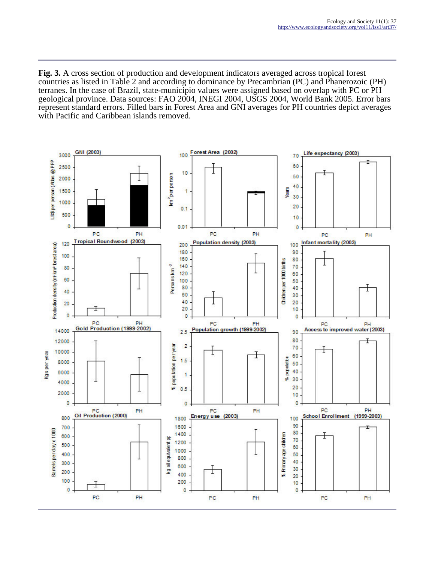**Fig. 3.** A cross section of production and development indicators averaged across tropical forest countries as listed in Table 2 and according to dominance by Precambrian (PC) and Phanerozoic (PH) terranes. In the case of Brazil, state-municipio values were assigned based on overlap with PC or PH geological province. Data sources: FAO 2004, INEGI 2004, USGS 2004, World Bank 2005. Error bars represent standard errors. Filled bars in Forest Area and GNI averages for PH countries depict averages with Pacific and Caribbean islands removed.

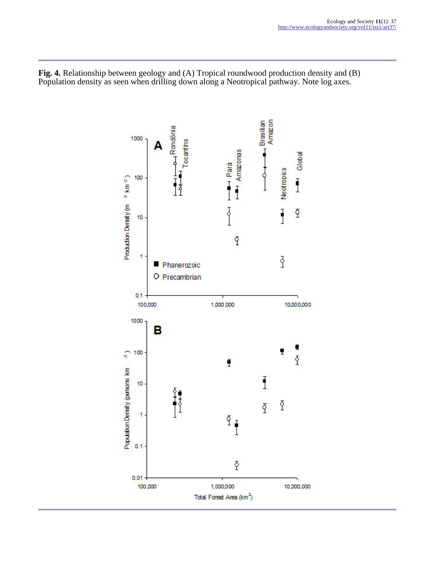**Fig. 4.** Relationship between geology and (A) Tropical roundwood production density and (B) Population density as seen when drilling down along a Neotropical pathway. Note log axes.

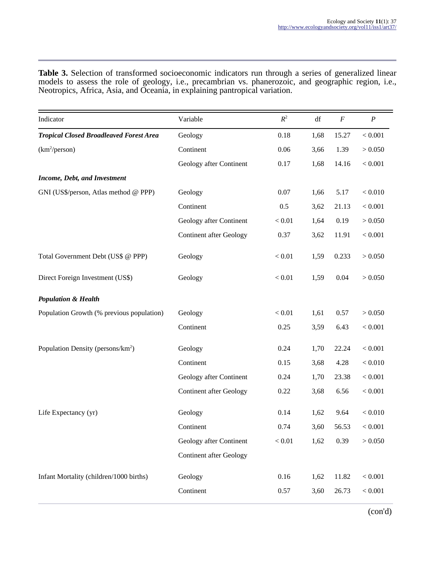**Table 3.** Selection of transformed socioeconomic indicators run through a series of generalized linear models to assess the role of geology, i.e., precambrian vs. phanerozoic, and geographic region, i.e., Neotropics, Africa, Asia, and Oceania, in explaining pantropical variation.

| Indicator                                      | Variable                       | $R^2$    | df   | $\cal F$ | $\boldsymbol{P}$ |
|------------------------------------------------|--------------------------------|----------|------|----------|------------------|
| <b>Tropical Closed Broadleaved Forest Area</b> | Geology                        | 0.18     | 1,68 | 15.27    | < 0.001          |
| $(km^2/person)$                                | Continent                      | 0.06     | 3,66 | 1.39     | > 0.050          |
|                                                | Geology after Continent        | 0.17     | 1,68 | 14.16    | < 0.001          |
| Income, Debt, and Investment                   |                                |          |      |          |                  |
| GNI (US\$/person, Atlas method @ PPP)          | Geology                        | 0.07     | 1,66 | 5.17     | < 0.010          |
|                                                | Continent                      | 0.5      | 3,62 | 21.13    | < 0.001          |
|                                                | Geology after Continent        | < 0.01   | 1,64 | 0.19     | > 0.050          |
|                                                | <b>Continent after Geology</b> | 0.37     | 3,62 | 11.91    | < 0.001          |
| Total Government Debt (US\$ @ PPP)             | Geology                        | < 0.01   | 1,59 | 0.233    | > 0.050          |
| Direct Foreign Investment (US\$)               | Geology                        | $< 0.01$ | 1,59 | 0.04     | > 0.050          |
| <b>Population &amp; Health</b>                 |                                |          |      |          |                  |
| Population Growth (% previous population)      | Geology                        | < 0.01   | 1,61 | 0.57     | > 0.050          |
|                                                | Continent                      | 0.25     | 3,59 | 6.43     | < 0.001          |
| Population Density (persons/km <sup>2</sup> )  | Geology                        | 0.24     | 1,70 | 22.24    | < 0.001          |
|                                                | Continent                      | 0.15     | 3,68 | 4.28     | < 0.010          |
|                                                | Geology after Continent        | 0.24     | 1,70 | 23.38    | < 0.001          |
|                                                | <b>Continent after Geology</b> | 0.22     | 3,68 | 6.56     | < 0.001          |
| Life Expectancy (yr)                           | Geology                        | 0.14     | 1,62 | 9.64     | < 0.010          |
|                                                | Continent                      | 0.74     | 3,60 | 56.53    | < 0.001          |
|                                                | Geology after Continent        | < 0.01   | 1,62 | 0.39     | > 0.050          |
|                                                | <b>Continent after Geology</b> |          |      |          |                  |
| Infant Mortality (children/1000 births)        | Geology                        | 0.16     | 1,62 | 11.82    | < 0.001          |
|                                                | Continent                      | 0.57     | 3,60 | 26.73    | < 0.001          |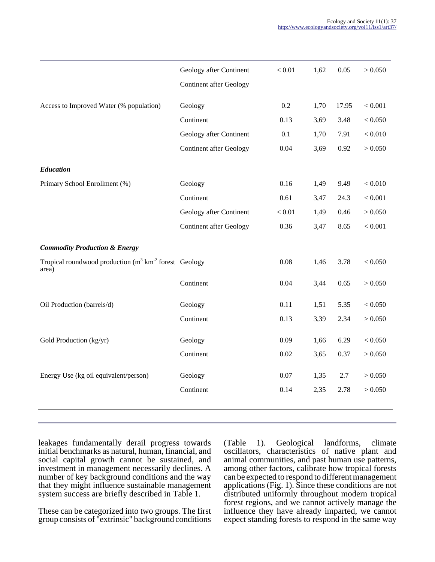|                                                                                        | Geology after Continent<br><b>Continent after Geology</b> | < 0.01   | 1,62 | 0.05  | > 0.050   |
|----------------------------------------------------------------------------------------|-----------------------------------------------------------|----------|------|-------|-----------|
| Access to Improved Water (% population)                                                | Geology                                                   | 0.2      | 1,70 | 17.95 | < 0.001   |
|                                                                                        | Continent                                                 | 0.13     | 3,69 | 3.48  | < 0.050   |
|                                                                                        | Geology after Continent                                   | 0.1      | 1,70 | 7.91  | $< 0.010$ |
|                                                                                        | <b>Continent after Geology</b>                            | 0.04     | 3,69 | 0.92  | > 0.050   |
| Education                                                                              |                                                           |          |      |       |           |
| Primary School Enrollment (%)                                                          | Geology                                                   | 0.16     | 1,49 | 9.49  | < 0.010   |
|                                                                                        | Continent                                                 | 0.61     | 3,47 | 24.3  | < 0.001   |
|                                                                                        | Geology after Continent                                   | $< 0.01$ | 1,49 | 0.46  | > 0.050   |
|                                                                                        | <b>Continent after Geology</b>                            | 0.36     | 3,47 | 8.65  | < 0.001   |
| <b>Commodity Production &amp; Energy</b>                                               |                                                           |          |      |       |           |
| Tropical roundwood production (m <sup>3</sup> km <sup>-2</sup> forest Geology<br>area) |                                                           | 0.08     | 1,46 | 3.78  | < 0.050   |
|                                                                                        | Continent                                                 | 0.04     | 3,44 | 0.65  | > 0.050   |
| Oil Production (barrels/d)                                                             | Geology                                                   | 0.11     | 1,51 | 5.35  | $< 0.050$ |
|                                                                                        | Continent                                                 | 0.13     | 3,39 | 2.34  | > 0.050   |
| Gold Production (kg/yr)                                                                | Geology                                                   | 0.09     | 1,66 | 6.29  | < 0.050   |
|                                                                                        | Continent                                                 | 0.02     | 3,65 | 0.37  | > 0.050   |
| Energy Use (kg oil equivalent/person)                                                  | Geology                                                   | 0.07     | 1,35 | 2.7   | > 0.050   |
|                                                                                        | Continent                                                 | 0.14     | 2,35 | 2.78  | > 0.050   |

leakages fundamentally derail progress towards initial benchmarks as natural, human, financial, and social capital growth cannot be sustained, and investment in management necessarily declines. A number of key background conditions and the way that they might influence sustainable management system success are briefly described in Table 1.

These can be categorized into two groups. The first group consists of "extrinsic" background conditions

(Table 1). Geological landforms, climate oscillators, characteristics of native plant and animal communities, and past human use patterns, among other factors, calibrate how tropical forests can be expected to respond to different management applications (Fig. 1). Since these conditions are not distributed uniformly throughout modern tropical forest regions, and we cannot actively manage the influence they have already imparted, we cannot expect standing forests to respond in the same way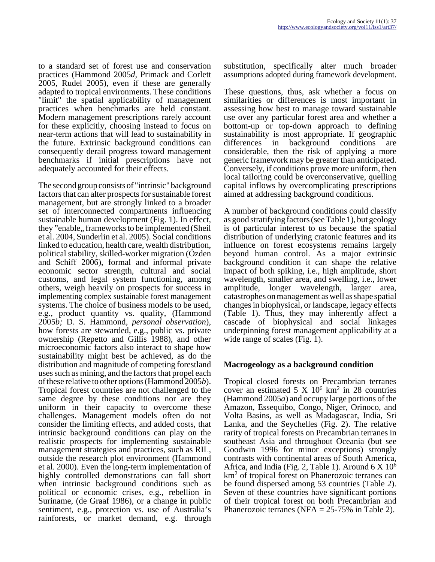to a standard set of forest use and conservation practices (Hammond 2005*d,* Primack and Corlett 2005, Rudel 2005), even if these are generally adapted to tropical environments. These conditions "limit" the spatial applicability of management practices when benchmarks are held constant. Modern management prescriptions rarely account for these explicitly, choosing instead to focus on near-term actions that will lead to sustainability in the future. Extrinsic background conditions can consequently derail progress toward management benchmarks if initial prescriptions have not adequately accounted for their effects.

The second group consists of "intrinsic" background factors that can alter prospects for sustainable forest management, but are strongly linked to a broader set of interconnected compartments influencing sustainable human development (Fig. 1). In effect, they "enable.. frameworks to be implemented (Sheil et al. 2004, Sunderlin et al. 2005). Social conditions linked to education, health care, wealth distribution, political stability, skilled-worker migration (Özden and Schiff 2006), formal and informal private economic sector strength, cultural and social customs, and legal system functioning, among others, weigh heavily on prospects for success in implementing complex sustainable forest management systems. The choice of business models to be used, e.g., product quantity vs. quality, (Hammond 2005*b;* D. S. Hammond, *personal observation*), how forests are stewarded, e.g., public vs. private ownership (Repetto and Gillis 1988), and other microeconomic factors also interact to shape how sustainability might best be achieved, as do the distribution and magnitude of competing forestland uses such as mining, and the factors that propel each of these relative to other options (Hammond 2005*b*). Tropical forest countries are not challenged to the same degree by these conditions nor are they uniform in their capacity to overcome these challenges. Management models often do not consider the limiting effects, and added costs, that intrinsic background conditions can play on the realistic prospects for implementing sustainable management strategies and practices, such as RIL, outside the research plot environment (Hammond et al. 2000). Even the long-term implementation of highly controlled demonstrations can fall short when intrinsic background conditions such as political or economic crises, e.g., rebellion in Suriname, (de Graaf 1986), or a change in public sentiment, e.g., protection vs. use of Australia's rainforests, or market demand, e.g. through

substitution, specifically alter much broader assumptions adopted during framework development.

These questions, thus, ask whether a focus on similarities or differences is most important in assessing how best to manage toward sustainable use over any particular forest area and whether a bottom-up or top-down approach to defining sustainability is most appropriate. If geographic differences in background conditions are considerable, then the risk of applying a more generic framework may be greater than anticipated. Conversely, if conditions prove more uniform, then local tailoring could be overconservative, quelling capital inflows by overcomplicating prescriptions aimed at addressing background conditions.

A number of background conditions could classify as good stratifying factors (see Table 1), but geology is of particular interest to us because the spatial distribution of underlying cratonic features and its influence on forest ecosystems remains largely beyond human control. As a major extrinsic background condition it can shape the relative impact of both spiking, i.e., high amplitude, short wavelength, smaller area, and swelling, i.e., lower amplitude, longer wavelength, larger area, catastrophes on management as well as shape spatial changes in biophysical, or landscape, legacy effects (Table 1). Thus, they may inherently affect a cascade of biophysical and social linkages underpinning forest management applicability at a wide range of scales (Fig. 1).

# **Macrogeology as a background condition**

Tropical closed forests on Precambrian terranes cover an estimated  $5 \text{ X } 10^6 \text{ km}^2$  in 28 countries (Hammond 2005*a*) and occupy large portions of the Amazon, Essequibo, Congo, Niger, Orinoco, and Volta Basins, as well as Madagascar, India, Sri Lanka, and the Seychelles (Fig. 2). The relative rarity of tropical forests on Precambrian terranes in southeast Asia and throughout Oceania (but see Goodwin 1996 for minor exceptions) strongly contrasts with continental areas of South America, Africa, and India (Fig. 2, Table 1). Around  $6 \times 10^6$ km<sup>2</sup> of tropical forest on Phanerozoic terranes can be found dispersed among 53 countries (Table 2). Seven of these countries have significant portions of their tropical forest on both Precambrian and Phanerozoic terranes (NFA  $=$  25-75% in Table 2).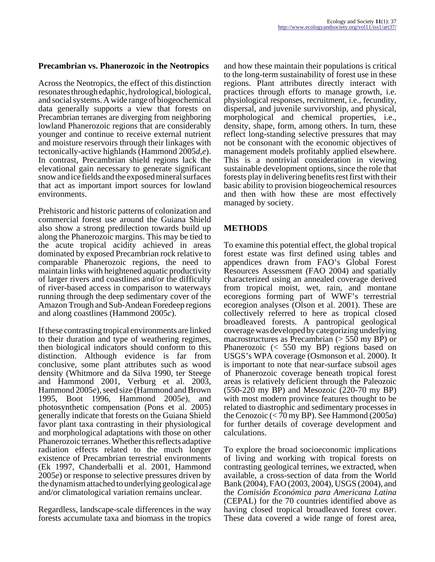#### **Precambrian vs. Phanerozoic in the Neotropics**

Across the Neotropics, the effect of this distinction resonates through edaphic, hydrological, biological, and social systems. A wide range of biogeochemical data generally supports a view that forests on Precambrian terranes are diverging from neighboring lowland Phanerozoic regions that are considerably younger and continue to receive external nutrient and moisture reservoirs through their linkages with tectonically-active highlands (Hammond 2005*d,e*). In contrast, Precambrian shield regions lack the elevational gain necessary to generate significant snow and ice fields and the exposed mineral surfaces that act as important import sources for lowland environments.

Prehistoric and historic patterns of colonization and commercial forest use around the Guiana Shield also show a strong predilection towards build up along the Phanerozoic margins. This may be tied to the acute tropical acidity achieved in areas dominated by exposed Precambrian rock relative to comparable Phanerozoic regions, the need to maintain links with heightened aquatic productivity of larger rivers and coastlines and/or the difficulty of river-based access in comparison to waterways running through the deep sedimentary cover of the Amazon Trough and Sub-Andean Foredeep regions and along coastlines (Hammond 2005*c*).

If these contrasting tropical environments are linked to their duration and type of weathering regimes, then biological indicators should conform to this distinction. Although evidence is far from conclusive, some plant attributes such as wood density (Whitmore and da Silva 1990, ter Steege and Hammond 2001, Verburg et al. 2003, Hammond 2005*e*), seed size (Hammond and Brown 1995, Boot 1996, Hammond 2005*e*), and photosynthetic compensation (Pons et al. 2005) generally indicate that forests on the Guiana Shield favor plant taxa contrasting in their physiological and morphological adaptations with those on other Phanerozoic terranes. Whether this reflects adaptive radiation effects related to the much longer existence of Precambrian terrestrial environments (Ek 1997, Chanderballi et al. 2001, Hammond 2005*e*) or response to selective pressures driven by the dynamism attached to underlying geological age and/or climatological variation remains unclear.

Regardless, landscape-scale differences in the way forests accumulate taxa and biomass in the tropics and how these maintain their populations is critical to the long-term sustainability of forest use in these regions. Plant attributes directly interact with practices through efforts to manage growth, i.e. physiological responses, recruitment, i.e., fecundity, dispersal, and juvenile survivorship, and physical, morphological and chemical properties, i.e., density, shape, form, among others. In turn, these reflect long-standing selective pressures that may not be consonant with the economic objectives of management models profitably applied elsewhere. This is a nontrivial consideration in viewing sustainable development options, since the role that forests play in delivering benefits rest first with their basic ability to provision biogeochemical resources and then with how these are most effectively managed by society.

# **METHODS**

To examine this potential effect, the global tropical forest estate was first defined using tables and appendices drawn from FAO's Global Forest Resources Assessment (FAO 2004) and spatially characterized using an annealed coverage derived from tropical moist, wet, rain, and montane ecoregions forming part of WWF's terrestrial ecoregion analyses (Olson et al. 2001). These are collectively referred to here as tropical closed broadleaved forests. A pantropical geological coverage was developed by categorizing underlying macrostructures as Precambrian (> 550 my BP) or Phanerozoic (< 550 my BP) regions based on USGS's WPA coverage (Osmonson et al. 2000). It is important to note that near-surface subsoil ages of Phanerozoic coverage beneath tropical forest areas is relatively deficient through the Paleozoic (550-220 my BP) and Mesozoic (220-70 my BP) with most modern province features thought to be related to diastrophic and sedimentary processes in the Cenozoic (< 70 my BP). See Hammond (2005*a*) for further details of coverage development and calculations.

To explore the broad socioeconomic implications of living and working with tropical forests on contrasting geological terrines, we extracted, when available, a cross-section of data from the World Bank (2004), FAO (2003, 2004), USGS (2004), and the *Comisión Económica para Americana Latina* (CEPAL) for the 70 countries identified above as having closed tropical broadleaved forest cover. These data covered a wide range of forest area,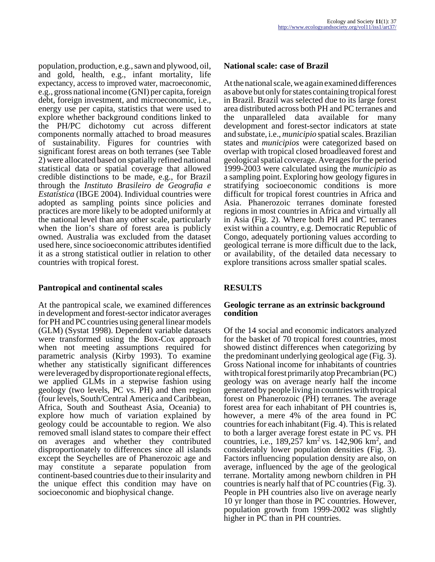population, production, e.g., sawn and plywood, oil, and gold, health, e.g., infant mortality, life expectancy, access to improved water, macroeconomic, e.g., gross national income (GNI) per capita, foreign debt, foreign investment, and microeconomic, i.e., energy use per capita, statistics that were used to explore whether background conditions linked to the PH/PC dichotomy cut across different components normally attached to broad measures of sustainability. Figures for countries with significant forest areas on both terranes (see Table 2) were allocated based on spatially refined national statistical data or spatial coverage that allowed credible distinctions to be made, e.g., for Brazil through the *Instituto Brasileiro de Geografia e Estatística* (IBGE 2004). Individual countries were adopted as sampling points since policies and practices are more likely to be adopted uniformly at the national level than any other scale, particularly when the lion's share of forest area is publicly owned. Australia was excluded from the dataset used here, since socioeconomic attributes identified it as a strong statistical outlier in relation to other countries with tropical forest.

# **Pantropical and continental scales**

At the pantropical scale, we examined differences in development and forest-sector indicator averages for PH and PC countries using general linear models (GLM) (Systat 1998). Dependent variable datasets were transformed using the Box-Cox approach when not meeting assumptions required for parametric analysis (Kirby 1993). To examine whether any statistically significant differences were leveraged by disproportionate regional effects, we applied GLMs in a stepwise fashion using geology (two levels, PC vs. PH) and then region (four levels, South/Central America and Caribbean, Africa, South and Southeast Asia, Oceania) to explore how much of variation explained by geology could be accountable to region. We also removed small island states to compare their effect on averages and whether they contributed disproportionately to differences since all islands except the Seychelles are of Phanerozoic age and may constitute a separate population from continent-based countries due to their insularity and the unique effect this condition may have on socioeconomic and biophysical change.

#### **National scale: case of Brazil**

At the national scale, we again examined differences as above but only for states containing tropical forest in Brazil. Brazil was selected due to its large forest area distributed across both PH and PC terranes and the unparalleled data available for many development and forest-sector indicators at state and substate, i.e., *municipio* spatial scales. Brazilian states and *municipios* were categorized based on overlap with tropical closed broadleaved forest and geological spatial coverage. Averages for the period 1999-2003 were calculated using the *municipio* as a sampling point. Exploring how geology figures in stratifying socioeconomic conditions is more difficult for tropical forest countries in Africa and Asia. Phanerozoic terranes dominate forested regions in most countries in Africa and virtually all in Asia (Fig. 2). Where both PH and PC terranes exist within a country, e.g. Democratic Republic of Congo, adequately portioning values according to geological terrane is more difficult due to the lack, or availability, of the detailed data necessary to explore transitions across smaller spatial scales.

# **RESULTS**

#### **Geologic terrane as an extrinsic background condition**

Of the 14 social and economic indicators analyzed for the basket of 70 tropical forest countries, most showed distinct differences when categorizing by the predominant underlying geological age (Fig. 3). Gross National income for inhabitants of countries with tropical forest primarily atop Precambrian (PC) geology was on average nearly half the income generated by people living in countries with tropical forest on Phanerozoic (PH) terranes. The average forest area for each inhabitant of PH countries is, however, a mere 4% of the area found in PC countries for each inhabitant (Fig. 4). This is related to both a larger average forest estate in PC vs. PH countries, i.e.,  $189,257 \text{ km}^2 \text{ vs. } 142,906 \text{ km}^2$ , and considerably lower population densities (Fig. 3). Factors influencing population density are also, on average, influenced by the age of the geological terrane. Mortality among newborn children in PH countries is nearly half that of PC countries (Fig. 3). People in PH countries also live on average nearly 10 yr longer than those in PC countries. However, population growth from 1999-2002 was slightly higher in PC than in PH countries.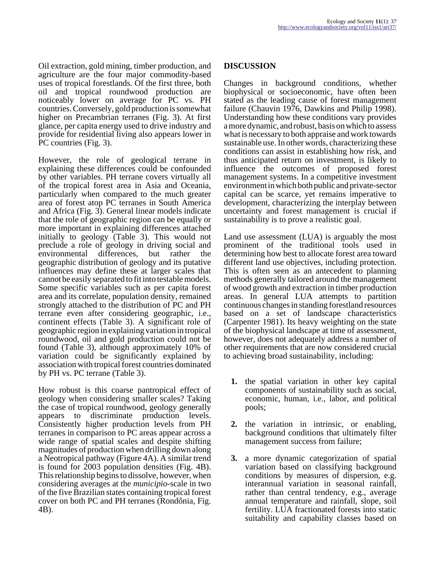Oil extraction, gold mining, timber production, and agriculture are the four major commodity-based uses of tropical forestlands. Of the first three, both oil and tropical roundwood production are noticeably lower on average for PC vs. PH countries. Conversely, gold production is somewhat higher on Precambrian terranes (Fig. 3). At first glance, per capita energy used to drive industry and provide for residential living also appears lower in PC countries (Fig. 3).

However, the role of geological terrane in explaining these differences could be confounded by other variables. PH terrane covers virtually all of the tropical forest area in Asia and Oceania, particularly when compared to the much greater area of forest atop PC terranes in South America and Africa (Fig. 3). General linear models indicate that the role of geographic region can be equally or more important in explaining differences attached initially to geology (Table 3). This would not preclude a role of geology in driving social and<br>environmental differences, but rather the environmental differences, but rather the geographic distribution of geology and its putative influences may define these at larger scales that cannot be easily separated to fit into testable models. Some specific variables such as per capita forest area and its correlate, population density, remained strongly attached to the distribution of PC and PH terrane even after considering geographic, i.e., continent effects (Table 3). A significant role of geographic region in explaining variation in tropical roundwood, oil and gold production could not be found (Table 3), although approximately 10% of variation could be significantly explained by association with tropical forest countries dominated by PH vs. PC terrane (Table 3).

How robust is this coarse pantropical effect of geology when considering smaller scales? Taking the case of tropical roundwood, geology generally appears to discriminate production levels. Consistently higher production levels from PH terranes in comparison to PC areas appear across a wide range of spatial scales and despite shifting magnitudes of production when drilling down along a Neotropical pathway (Figure 4A). A similar trend is found for 2003 population densities (Fig. 4B). This relationship begins to dissolve, however, when considering averages at the *municipio*-scale in two of the five Brazilian states containing tropical forest cover on both PC and PH terranes (Rondônia, Fig. 4B).

# **DISCUSSION**

Changes in background conditions, whether biophysical or socioeconomic, have often been stated as the leading cause of forest management failure (Chauvin 1976, Dawkins and Philip 1998). Understanding how these conditions vary provides a more dynamic, and robust, basis on which to assess what is necessary to both appraise and work towards sustainable use. In other words, characterizing these conditions can assist in establishing how risk, and thus anticipated return on investment, is likely to influence the outcomes of proposed forest management systems. In a competitive investment environment in which both public and private-sector capital can be scarce, yet remains imperative to development, characterizing the interplay between uncertainty and forest management is crucial if sustainability is to prove a realistic goal.

Land use assessment (LUA) is arguably the most prominent of the traditional tools used in determining how best to allocate forest area toward different land use objectives, including protection. This is often seen as an antecedent to planning methods generally tailored around the management of wood growth and extraction in timber production areas. In general LUA attempts to partition continuous changes in standing forestland resources based on a set of landscape characteristics (Carpenter 1981). Its heavy weighting on the state of the biophysical landscape at time of assessment, however, does not adequately address a number of other requirements that are now considered crucial to achieving broad sustainability, including:

- **1.** the spatial variation in other key capital components of sustainability such as social, economic, human, i.e., labor, and political pools;
- **2.** the variation in intrinsic, or enabling, background conditions that ultimately filter management success from failure;
- **3.** a more dynamic categorization of spatial variation based on classifying background conditions by measures of dispersion, e.g. interannual variation in seasonal rainfall, rather than central tendency, e.g., average annual temperature and rainfall, slope, soil fertility. LUA fractionated forests into static suitability and capability classes based on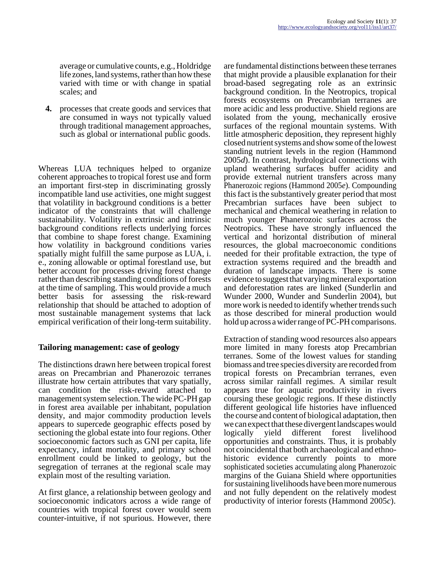average or cumulative counts, e.g., Holdridge life zones, land systems, rather than how these varied with time or with change in spatial scales; and

**4.** processes that create goods and services that are consumed in ways not typically valued through traditional management approaches, such as global or international public goods.

Whereas LUA techniques helped to organize coherent approaches to tropical forest use and form an important first-step in discriminating grossly incompatible land use activities, one might suggest that volatility in background conditions is a better indicator of the constraints that will challenge sustainability. Volatility in extrinsic and intrinsic background conditions reflects underlying forces that combine to shape forest change. Examining how volatility in background conditions varies spatially might fulfill the same purpose as LUA, i. e., zoning allowable or optimal forestland use, but better account for processes driving forest change rather than describing standing conditions of forests at the time of sampling. This would provide a much better basis for assessing the risk-reward relationship that should be attached to adoption of most sustainable management systems that lack empirical verification of their long-term suitability.

# **Tailoring management: case of geology**

The distinctions drawn here between tropical forest areas on Precambrian and Phanerozoic terranes illustrate how certain attributes that vary spatially, can condition the risk-reward attached to management system selection. The wide PC-PH gap in forest area available per inhabitant, population density, and major commodity production levels appears to supercede geographic effects posed by sectioning the global estate into four regions. Other socioeconomic factors such as GNI per capita, life expectancy, infant mortality, and primary school enrollment could be linked to geology, but the segregation of terranes at the regional scale may explain most of the resulting variation.

At first glance, a relationship between geology and socioeconomic indicators across a wide range of countries with tropical forest cover would seem counter-intuitive, if not spurious. However, there

are fundamental distinctions between these terranes that might provide a plausible explanation for their broad-based segregating role as an extrinsic background condition. In the Neotropics, tropical forests ecosystems on Precambrian terranes are more acidic and less productive. Shield regions are isolated from the young, mechanically erosive surfaces of the regional mountain systems. With little atmospheric deposition, they represent highly closed nutrient systems and show some of the lowest standing nutrient levels in the region (Hammond 2005*d*). In contrast, hydrological connections with upland weathering surfaces buffer acidity and provide external nutrient transfers across many Phanerozoic regions (Hammond 2005*e*). Compounding this fact is the substantively greater period that most Precambrian surfaces have been subject to mechanical and chemical weathering in relation to much younger Phanerozoic surfaces across the Neotropics. These have strongly influenced the vertical and horizontal distribution of mineral resources, the global macroeconomic conditions needed for their profitable extraction, the type of extraction systems required and the breadth and duration of landscape impacts. There is some evidence to suggest that varying mineral exportation and deforestation rates are linked (Sunderlin and Wunder 2000, Wunder and Sunderlin 2004), but more work is needed to identify whether trends such as those described for mineral production would hold up across a wider range of PC-PH comparisons.

Extraction of standing wood resources also appears more limited in many forests atop Precambrian terranes. Some of the lowest values for standing biomass and tree species diversity are recorded from tropical forests on Precambrian terranes, even across similar rainfall regimes. A similar result appears true for aquatic productivity in rivers coursing these geologic regions. If these distinctly different geological life histories have influenced the course and content of biological adaptation, then we can expect that these divergent landscapes would logically yield different forest livelihood opportunities and constraints. Thus, it is probably not coincidental that both archaeological and ethnohistoric evidence currently points to more sophisticated societies accumulating along Phanerozoic margins of the Guiana Shield where opportunities for sustaining livelihoods have been more numerous and not fully dependent on the relatively modest productivity of interior forests (Hammond 2005*c*).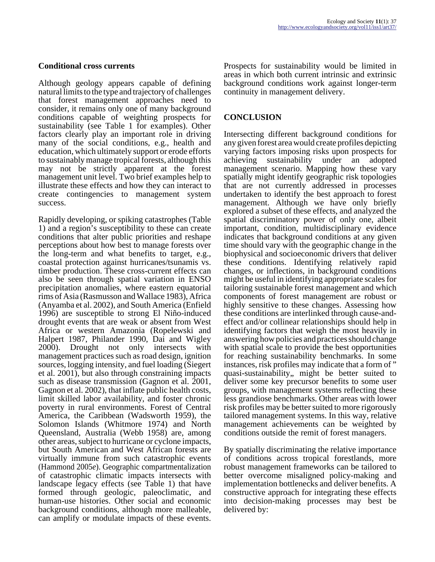#### **Conditional cross currents**

Although geology appears capable of defining natural limits to the type and trajectory of challenges that forest management approaches need to consider, it remains only one of many background conditions capable of weighting prospects for sustainability (see Table 1 for examples). Other factors clearly play an important role in driving many of the social conditions, e.g., health and education, which ultimately support or erode efforts to sustainably manage tropical forests, although this may not be strictly apparent at the forest management unit level. Two brief examples help to illustrate these effects and how they can interact to create contingencies to management system success.

Rapidly developing, or spiking catastrophes (Table 1) and a region's susceptibility to these can create conditions that alter public priorities and reshape perceptions about how best to manage forests over the long-term and what benefits to target, e.g., coastal protection against hurricanes/tsunamis vs. timber production. These cross-current effects can also be seen through spatial variation in ENSO precipitation anomalies, where eastern equatorial rims of Asia (Rasmusson and Wallace 1983), Africa (Anyamba et al. 2002), and South America (Enfield 1996) are susceptible to strong El Niño-induced drought events that are weak or absent from West Africa or western Amazonia (Ropelewski and Halpert 1987, Philander 1990, Dai and Wigley 2000). Drought not only intersects with management practices such as road design, ignition sources, logging intensity, and fuel loading (Siegert et al. 2001), but also through constraining impacts such as disease transmission (Gagnon et al. 2001, Gagnon et al. 2002), that inflate public health costs, limit skilled labor availability, and foster chronic poverty in rural environments. Forest of Central America, the Caribbean (Wadsworth 1959), the Solomon Islands (Whitmore 1974) and North Queensland, Australia (Webb 1958) are, among other areas, subject to hurricane or cyclone impacts, but South American and West African forests are virtually immune from such catastrophic events (Hammond 2005*e*). Geographic compartmentalization of catastrophic climatic impacts intersects with landscape legacy effects (see Table 1) that have formed through geologic, paleoclimatic, and human-use histories. Other social and economic background conditions, although more malleable, can amplify or modulate impacts of these events.

Prospects for sustainability would be limited in areas in which both current intrinsic and extrinsic background conditions work against longer-term continuity in management delivery.

#### **CONCLUSION**

Intersecting different background conditions for any given forest area would create profiles depicting varying factors imposing risks upon prospects for achieving sustainability under an adopted management scenario. Mapping how these vary spatially might identify geographic risk topologies that are not currently addressed in processes undertaken to identify the best approach to forest management. Although we have only briefly explored a subset of these effects, and analyzed the spatial discriminatory power of only one, albeit important, condition, multidisciplinary evidence indicates that background conditions at any given time should vary with the geographic change in the biophysical and socioeconomic drivers that deliver these conditions. Identifying relatively rapid changes, or inflections, in background conditions might be useful in identifying appropriate scales for tailoring sustainable forest management and which components of forest management are robust or highly sensitive to these changes. Assessing how these conditions are interlinked through cause-andeffect and/or collinear relationships should help in identifying factors that weigh the most heavily in answering how policies and practices should change with spatial scale to provide the best opportunities for reaching sustainability benchmarks. In some instances, risk profiles may indicate that a form of " quasi-sustainability, might be better suited to deliver some key precursor benefits to some user groups, with management systems reflecting these less grandiose benchmarks. Other areas with lower risk profiles may be better suited to more rigorously tailored management systems. In this way, relative management achievements can be weighted by conditions outside the remit of forest managers.

By spatially discriminating the relative importance of conditions across tropical forestlands, more robust management frameworks can be tailored to better overcome misaligned policy-making and implementation bottlenecks and deliver benefits. A constructive approach for integrating these effects into decision-making processes may best be delivered by: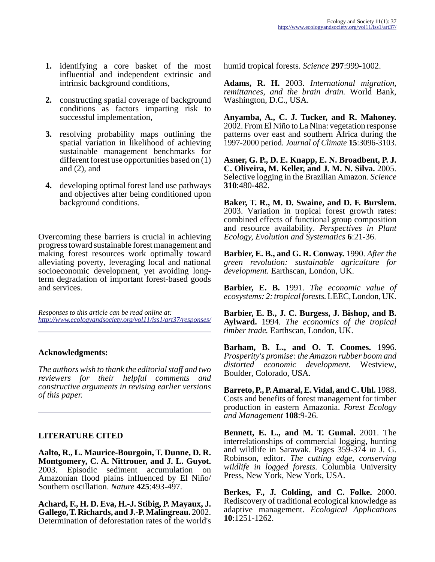- **1.** identifying a core basket of the most influential and independent extrinsic and intrinsic background conditions,
- **2.** constructing spatial coverage of background conditions as factors imparting risk to successful implementation,
- **3.** resolving probability maps outlining the spatial variation in likelihood of achieving sustainable management benchmarks for different forest use opportunities based on (1) and  $(2)$ , and
- **4.** developing optimal forest land use pathways and objectives after being conditioned upon background conditions.

Overcoming these barriers is crucial in achieving progress toward sustainable forest management and making forest resources work optimally toward alleviating poverty, leveraging local and national socioeconomic development, yet avoiding longterm degradation of important forest-based goods and services.

*Responses to this article can be read online at: <http://www.ecologyandsociety.org/vol11/iss1/art37/responses/>*

#### **Acknowledgments:**

*The authors wish to thank the editorial staff and two reviewers for their helpful comments and constructive arguments in revising earlier versions of this paper.* 

# **LITERATURE CITED**

**Aalto, R., L. Maurice-Bourgoin, T. Dunne, D. R. Montgomery, C. A. Nittrouer, and J. L. Guyot.** 2003. Episodic sediment accumulation on Amazonian flood plains influenced by El Niño/ Southern oscillation. *Nature* **425**:493-497.

**Achard, F., H. D. Eva, H.-J. Stibig, P. Mayaux, J. Gallego, T. Richards, and J.-P. Malingreau.** 2002. Determination of deforestation rates of the world's humid tropical forests. *Science* **297**:999-1002.

**Adams, R. H.** 2003. *International migration, remittances, and the brain drain.* World Bank, Washington, D.C., USA.

**Anyamba, A., C. J. Tucker, and R. Mahoney.** 2002. From El Niño to La Nina: vegetation response patterns over east and southern Africa during the 1997-2000 period. *Journal of Climate* **15**:3096-3103.

**Asner, G. P., D. E. Knapp, E. N. Broadbent, P. J. C. Oliveira, M. Keller, and J. M. N. Silva.** 2005. Selective logging in the Brazilian Amazon. *Science* **310**:480-482.

**Baker, T. R., M. D. Swaine, and D. F. Burslem.** 2003. Variation in tropical forest growth rates: combined effects of functional group composition and resource availability. *Perspectives in Plant Ecology, Evolution and Systematics* **6**:21-36.

**Barbier, E. B., and G. R. Conway.** 1990. *After the green revolution: sustainable agriculture for development.* Earthscan, London, UK.

**Barbier, E. B.** 1991. *The economic value of ecosystems: 2: tropical forests.* LEEC, London, UK.

**Barbier, E. B., J. C. Burgess, J. Bishop, and B. Aylward.** 1994. *The economics of the tropical timber trade.* Earthscan, London, UK.

**Barham, B. L., and O. T. Coomes.** 1996. *Prosperity's promise: the Amazon rubber boom and distorted economic development.* Westview, Boulder, Colorado, USA.

**Barreto, P., P. Amaral, E. Vidal, and C. Uhl.** 1988. Costs and benefits of forest management for timber production in eastern Amazonia. *Forest Ecology and Management* **108**:9-26.

**Bennett, E. L., and M. T. Gumal.** 2001. The interrelationships of commercial logging, hunting and wildlife in Sarawak. Pages 359-374 *in* J. G. Robinson, editor. *The cutting edge, conserving wildlife in logged forests.* Columbia University Press, New York, New York, USA.

**Berkes, F., J. Colding, and C. Folke.** 2000. Rediscovery of traditional ecological knowledge as adaptive management. *Ecological Applications* **10**:1251-1262.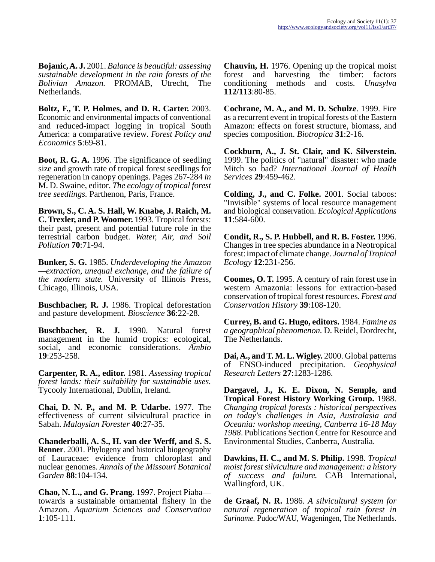**Bojanic, A. J.** 2001. *Balance is beautiful: assessing sustainable development in the rain forests of the Bolivian Amazon.* PROMAB, Utrecht, The Netherlands.

**Boltz, F., T. P. Holmes, and D. R. Carter.** 2003. Economic and environmental impacts of conventional and reduced-impact logging in tropical South America: a comparative review. *Forest Policy and Economics* **5**:69-81.

**Boot, R. G. A.** 1996. The significance of seedling size and growth rate of tropical forest seedlings for regeneration in canopy openings. Pages 267-284 *in* M. D. Swaine, editor. *The ecology of tropical forest tree seedlings.* Parthenon, Paris, France.

**Brown, S., C. A. S. Hall, W. Knabe, J. Raich, M. C. Trexler, and P. Woomer.** 1993. Tropical forests: their past, present and potential future role in the terrestrial carbon budget. *Water, Air, and Soil Pollution* **70**:71-94.

**Bunker, S. G.** 1985. *Underdeveloping the Amazon —extraction, unequal exchange, and the failure of the modern state.* University of Illinois Press, Chicago, Illinois, USA.

**Buschbacher, R. J.** 1986. Tropical deforestation and pasture development. *Bioscience* **36**:22-28.

**Buschbacher, R. J.** 1990. Natural forest management in the humid tropics: ecological, social, and economic considerations. *Ambio* **19**:253-258.

**Carpenter, R. A., editor.** 1981. *Assessing tropical forest lands: their suitability for sustainable uses.* Tycooly International, Dublin, Ireland.

**Chai, D. N. P., and M. P. Udarbe.** 1977. The effectiveness of current silvicultural practice in Sabah. *Malaysian Forester* **40**:27-35.

**Chanderballi, A. S., H. van der Werff, and S. S. Renner**. 2001. Phylogeny and historical biogeography of Lauraceae: evidence from chloroplast and nuclear genomes. *Annals of the Missouri Botanical Garden* **88**:104-134.

**Chao, N. L., and G. Prang.** 1997. Project Piaba towards a sustainable ornamental fishery in the Amazon. *Aquarium Sciences and Conservation* **1**:105-111.

**Chauvin, H.** 1976. Opening up the tropical moist forest and harvesting the timber: factors conditioning methods and costs. *Unasylva* **112/113**:80-85.

**Cochrane, M. A., and M. D. Schulze**. 1999. Fire as a recurrent event in tropical forests of the Eastern Amazon: effects on forest structure, biomass, and species composition. *Biotropica* **31**:2-16.

**Cockburn, A., J. St. Clair, and K. Silverstein.** 1999. The politics of "natural" disaster: who made Mitch so bad? *International Journal of Health Services* **29**:459-462.

**Colding, J., and C. Folke.** 2001. Social taboos: "Invisible" systems of local resource management and biological conservation. *Ecological Applications* **11**:584-600.

**Condit, R., S. P. Hubbell, and R. B. Foster.** 1996. Changes in tree species abundance in a Neotropical forest: impact of climate change. *Journal of Tropical Ecology* **12**:231-256.

**Coomes, O. T.** 1995. A century of rain forest use in western Amazonia: lessons for extraction-based conservation of tropical forest resources. *Forest and Conservation History* **39**:108-120.

**Currey, B. and G. Hugo, editors.** 1984. *Famine as a geographical phenomenon.* D. Reidel, Dordrecht, The Netherlands.

**Dai, A., and T. M. L. Wigley.** 2000. Global patterns of ENSO-induced precipitation. *Geophysical Research Letters* **27**:1283-1286.

**Dargavel, J., K. E. Dixon, N. Semple, and Tropical Forest History Working Group.** 1988. *Changing tropical forests : historical perspectives on today's challenges in Asia, Australasia and Oceania: workshop meeting, Canberra 16-18 May 1988*. Publications Section Centre for Resource and Environmental Studies, Canberra, Australia.

**Dawkins, H. C., and M. S. Philip.** 1998. *Tropical moist forest silviculture and management: a history of success and failure.* CAB International, Wallingford, UK.

**de Graaf, N. R.** 1986. *A silvicultural system for natural regeneration of tropical rain forest in Suriname.* Pudoc/WAU, Wageningen, The Netherlands.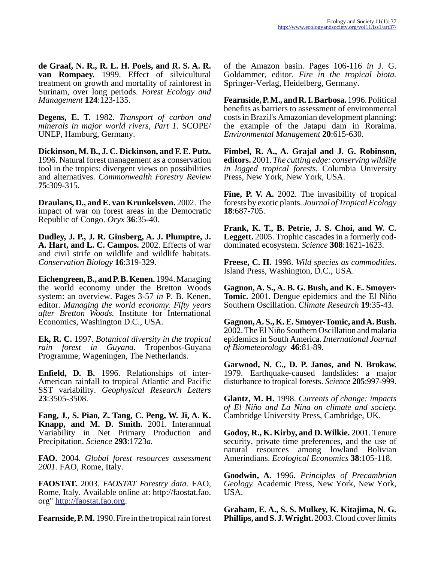**de Graaf, N. R., R. L. H. Poels, and R. S. A. R. van Rompaey.** 1999. Effect of silvicultural treatment on growth and mortality of rainforest in Surinam, over long periods. *Forest Ecology and Management* **124**:123-135.

**Degens, E. T.** 1982. *Transport of carbon and minerals in major world rivers, Part 1.* SCOPE/ UNEP, Hamburg, Germany.

**Dickinson, M. B., J. C. Dickinson, and F. E. Putz.** 1996. Natural forest management as a conservation tool in the tropics: divergent views on possibilities and alternatives. *Commonwealth Forestry Review* **75**:309-315.

**Draulans, D., and E. van Krunkelsven.** 2002. The impact of war on forest areas in the Democratic Republic of Congo. *Oryx* **36**:35-40.

**Dudley, J. P., J. R. Ginsberg, A. J. Plumptre, J. A. Hart, and L. C. Campos.** 2002. Effects of war and civil strife on wildlife and wildlife habitats. *Conservation Biology* **16**:319-329.

**Eichengreen, B., and P. B. Kenen.** 1994. Managing the world economy under the Bretton Woods system: an overview. Pages 3-57 *in* P. B. Kenen, editor. *Managing the world economy. Fifty years after Bretton Woods.* Institute for International Economics, Washington D.C., USA.

**Ek, R. C.** 1997. *Botanical diversity in the tropical rain forest in Guyana*. Tropenbos-Guyana Programme, Wageningen, The Netherlands.

**Enfield, D. B.** 1996. Relationships of inter-American rainfall to tropical Atlantic and Pacific SST variability. *Geophysical Research Letters* **23**:3505-3508.

**Fang, J., S. Piao, Z. Tang, C. Peng, W. Ji, A. K. Knapp, and M. D. Smith.** 2001. Interannual Variability in Net Primary Production and Precipitation. *Science* **293**:1723*a.*

**FAO.** 2004. *Global forest resources assessment 2001.* FAO, Rome, Italy.

**FAOSTAT.** 2003. *FAOSTAT Forestry data.* FAO, Rome, Italy. Available online at: http://faostat.fao. org" [http://faostat.fao.org.](http://faostat.fao.org/faostat/collections)

**Fearnside, P. M.** 1990. Fire in the tropical rain forest

of the Amazon basin. Pages 106-116 *in* J. G. Goldammer, editor. *Fire in the tropical biota.* Springer-Verlag, Heidelberg, Germany.

**Fearnside, P. M., and R. I. Barbosa.** 1996. Political benefits as barriers to assessment of environmental costs in Brazil's Amazonian development planning: the example of the Jatapu dam in Roraima. *Environmental Management* **20**:615-630.

**Fimbel, R. A., A. Grajal and J. G. Robinson, editors.** 2001. *The cutting edge: conserving wildlife in logged tropical forests.* Columbia University Press, New York, New York, USA.

**Fine, P. V. A.** 2002. The invasibility of tropical forests by exotic plants. *Journal of Tropical Ecology* **18**:687-705.

**Frank, K. T., B. Petrie, J. S. Choi, and W. C. Leggett.** 2005. Trophic cascades in a formerly coddominated ecosystem. *Science* **308**:1621-1623.

**Freese, C. H.** 1998. *Wild species as commodities*. Island Press, Washington, D.C., USA.

**Gagnon, A. S., A. B. G. Bush, and K. E. Smoyer-Tomic.** 2001. Dengue epidemics and the El Niño Southern Oscillation. *Climate Research* **19**:35-43.

**Gagnon, A. S., K. E. Smoyer-Tomic, and A. Bush.** 2002. The El Niño Southern Oscillation and malaria epidemics in South America. *International Journal of Biometeorology* **46**:81-89.

**Garwood, N. C., D. P. Janos, and N. Brokaw.** 1979. Earthquake-caused landslides: a major disturbance to tropical forests. *Science* **205**:997-999.

**Glantz, M. H.** 1998. *Currents of change: impacts of El Niño and La Nina on climate and society.* Cambridge University Press, Cambridge, UK.

**Godoy, R., K. Kirby, and D. Wilkie.** 2001. Tenure security, private time preferences, and the use of natural resources among lowland Bolivian Amerindians. *Ecological Economics* **38**:105-118.

**Goodwin, A.** 1996. *Principles of Precambrian Geology.* Academic Press, New York, New York, USA.

**Graham, E. A., S. S. Mulkey, K. Kitajima, N. G. Phillips, and S. J. Wright.** 2003. Cloud cover limits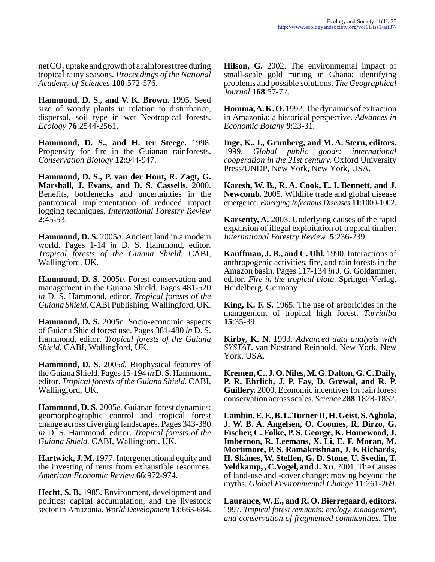net  $\mathrm{CO}_2$  uptake and growth of a rainforest tree during tropical rainy seasons. *Proceedings of the National Academy of Sciences* **100**:572-576.

**Hammond, D. S., and V. K. Brown.** 1995. Seed size of woody plants in relation to disturbance, dispersal, soil type in wet Neotropical forests. *Ecology* **76**:2544-2561.

**Hammond, D. S., and H. ter Steege.** 1998. Propensity for fire in the Guianan rainforests. *Conservation Biology* **12**:944-947.

**Hammond, D. S., P. van der Hout, R. Zagt, G. Marshall, J. Evans, and D. S. Cassells.** 2000. Benefits, bottlenecks and uncertainties in the pantropical implementation of reduced impact logging techniques. *International Forestry Review* **2**:45-53.

**Hammond, D. S.** 2005*a.* Ancient land in a modern world. Pages 1-14 *in* D. S. Hammond, editor. *Tropical forests of the Guiana Shield.* CABI, Wallingford, UK.

**Hammond, D. S.** 2005*b.* Forest conservation and management in the Guiana Shield. Pages 481-520 *in* D. S. Hammond, editor. *Tropical forests of the Guiana Shield.* CABI Publishing, Wallingford, UK.

**Hammond, D. S.** 2005*c.* Socio-economic aspects of Guiana Shield forest use. Pages 381-480 *in* D. S. Hammond, editor. *Tropical forests of the Guiana Shield.* CABI, Wallingford, UK.

**Hammond, D. S.** 2005*d.* Biophysical features of the Guiana Shield. Pages 15-194 *in* D. S. Hammond, editor. *Tropical forests of the Guiana Shield.* CABI, Wallingford, UK.

**Hammond, D. S.** 2005*e.* Guianan forest dynamics: geomorphographic control and tropical forest change across diverging landscapes. Pages 343-380 *in* D. S. Hammond, editor. *Tropical forests of the Guiana Shield.* CABI, Wallingford, UK.

**Hartwick, J. M.** 1977. Intergenerational equity and the investing of rents from exhaustible resources. *American Economic Review* **66**:972-974.

**Hecht, S. B.** 1985. Environment, development and politics: capital accumulation, and the livestock sector in Amazonia. *World Development* **13**:663-684.

**Hilson, G.** 2002. The environmental impact of small-scale gold mining in Ghana: identifying problems and possible solutions. *The Geographical Journal* **168**:57-72.

**Homma, A. K. O.** 1992. The dynamics of extraction in Amazonia: a historical perspective. *Advances in Economic Botany* **9**:23-31.

**Inge, K., I., Grunberg, and M. A. Stern, editors.** 1999. *Global public goods: international cooperation in the 21st century.* Oxford University Press/UNDP, New York, New York, USA.

**Karesh, W. B., R. A. Cook, E. I. Bennett, and J. Newcomb.** 2005. Wildlife trade and global disease emergence. *Emerging Infectious Diseases* **11**:1000-1002.

**Karsenty, A.** 2003. Underlying causes of the rapid expansion of illegal exploitation of tropical timber. *International Forestry Review* **5**:236-239.

**Kauffman, J. B., and C. Uhl.** 1990. Interactions of anthropogenic activities, fire, and rain forests in the Amazon basin. Pages 117-134 *in* J. G. Goldammer, editor. *Fire in the tropical biota.* Springer-Verlag, Heidelberg, Germany.

**King, K. F. S.** 1965. The use of arboricides in the management of tropical high forest. *Turrialba* **15**:35-39.

**Kirby, K. N.** 1993. *Advanced data analysis with SYSTAT*. van Nostrand Reinhold, New York, New York, USA.

**Kremen, C., J. O. Niles, M. G. Dalton, G. C. Daily, P. R. Ehrlich, J. P. Fay, D. Grewal, and R. P. Guillery.** 2000. Economic incentives for rain forest conservation across scales. *Science* **288**:1828-1832.

**Lambin, E. F., B. L. Turner II, H. Geist, S. Agbola, J. W. B. A. Angelsen, O. Coomes, R. Dirzo, G. Fischer, C. Folke, P. S. George, K. Homewood, J. Imbernon, R. Leemans, X. Li, E. F. Moran, M. Mortimore, P. S. Ramakrishnan, J. F. Richards, H. Skånes, W. Steffen, G. D. Stone, U. Svedin, T. Veldkamp, , C.Vogel, and J. Xu**. 2001. The Causes of land-use and -cover change: moving beyond the myths. *Global Environmental Change* **11**:261-269.

**Laurance, W. E., and R. O. Bierregaard, editors.** 1997. *Tropical forest remnants: ecology, management, and conservation of fragmented communities.* The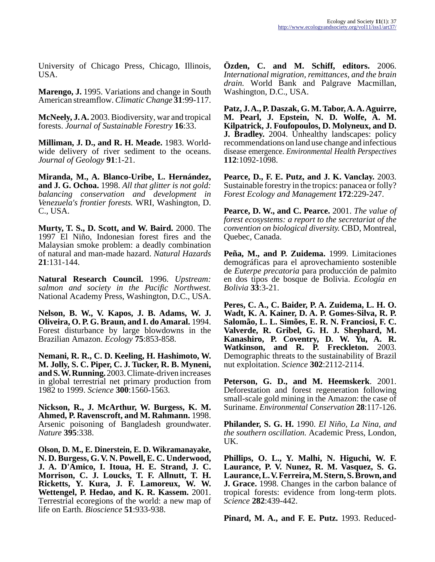University of Chicago Press, Chicago, Illinois, USA.

**Marengo, J.** 1995. Variations and change in South American streamflow. *Climatic Change* **31**:99-117.

**McNeely, J. A.** 2003. Biodiversity, war and tropical forests. *Journal of Sustainable Forestry* **16**:33.

**Milliman, J. D., and R. H. Meade.** 1983. Worldwide delivery of river sediment to the oceans. *Journal of Geology* **91**:1-21.

**Miranda, M., A. Blanco-Uribe, L. Hernández, and J. G. Ochoa.** 1998. *All that glitter is not gold: balancing conservation and development in Venezuela's frontier forests.* WRI, Washington, D. C., USA.

**Murty, T. S., D. Scott, and W. Baird.** 2000. The 1997 El Niño, Indonesian forest fires and the Malaysian smoke problem: a deadly combination of natural and man-made hazard. *Natural Hazards* **21**:131-144.

**Natural Research Council.** 1996. *Upstream: salmon and society in the Pacific Northwest.* National Academy Press, Washington, D.C., USA.

**Nelson, B. W., V. Kapos, J. B. Adams, W. J. Oliveira, O. P. G. Braun, and I. do Amaral.** 1994. Forest disturbance by large blowdowns in the Brazilian Amazon. *Ecology* **75**:853-858.

**Nemani, R. R., C. D. Keeling, H. Hashimoto, W. M. Jolly, S. C. Piper, C. J. Tucker, R. B. Myneni, and S. W. Running.** 2003. Climate-driven increases in global terrestrial net primary production from 1982 to 1999. *Science* **300**:1560-1563.

**Nickson, R., J. McArthur, W. Burgess, K. M. Ahmed, P. Ravenscroft, and M. Rahmann.** 1998. Arsenic poisoning of Bangladesh groundwater. *Nature* **395**:338.

**Olson, D. M., E. Dinerstein, E. D. Wikramanayake, N. D. Burgess, G. V. N. Powell, E. C. Underwood, J. A. D'Amico, I. Itoua, H. E. Strand, J. C. Morrison, C. J. Loucks, T. F. Allnutt, T. H. Ricketts, Y. Kura, J. F. Lamoreux, W. W. Wettengel, P. Hedao, and K. R. Kassem.** 2001. Terrestrial ecoregions of the world: a new map of life on Earth. *Bioscience* **51**:933-938.

**Özden, C. and M. Schiff, editors.** 2006. *International migration, remittances, and the brain drain.* World Bank and Palgrave Macmillan, Washington, D.C., USA.

**Patz, J. A., P. Daszak, G. M. Tabor, A. A. Aguirre, M. Pearl, J. Epstein, N. D. Wolfe, A. M. Kilpatrick, J. Foufopoulos, D. Molyneux, and D. J. Bradley.** 2004. Unhealthy landscapes: policy recommendations on land use change and infectious disease emergence. *Environmental Health Perspectives* **112**:1092-1098.

**Pearce, D., F. E. Putz, and J. K. Vanclay.** 2003. Sustainable forestry in the tropics: panacea or folly? *Forest Ecology and Management* **172**:229-247.

**Pearce, D. W., and C. Pearce.** 2001. *The value of forest ecosystems: a report to the secretariat of the convention on biological diversity.* CBD, Montreal, Quebec, Canada.

**Peña, M., and P. Zuidema.** 1999. Limitaciones demográficas para el aprovechamiento sostenible de *Euterpe precatoria* para producción de palmito en dos tipos de bosque de Bolivia. *Ecología en Bolivia* **33**:3-21.

**Peres, C. A., C. Baider, P. A. Zuidema, L. H. O. Wadt, K. A. Kainer, D. A. P. Gomes-Silva, R. P. Salomão, L. L. Simões, E. R. N. Franciosi, F. C. Valverde, R. Gribel, G. H. J. Shephard, M. Kanashiro, P. Coventry, D. W. Yu, A. R. Watkinson, and R. P. Freckleton.** 2003. Demographic threats to the sustainability of Brazil nut exploitation. *Science* **302**:2112-2114.

**Peterson, G. D., and M. Heemskerk**. 2001. Deforestation and forest regeneration following small-scale gold mining in the Amazon: the case of Suriname. *Environmental Conservation* **28**:117-126.

**Philander, S. G. H.** 1990. *El Niño, La Nina, and the southern oscillation.* Academic Press, London, UK.

**Phillips, O. L., Y. Malhi, N. Higuchi, W. F. Laurance, P. V. Nunez, R. M. Vasquez, S. G. Laurance, L. V. Ferreira, M. Stern, S. Brown, and J. Grace.** 1998. Changes in the carbon balance of tropical forests: evidence from long-term plots. *Science* **282**:439-442.

**Pinard, M. A., and F. E. Putz.** 1993. Reduced-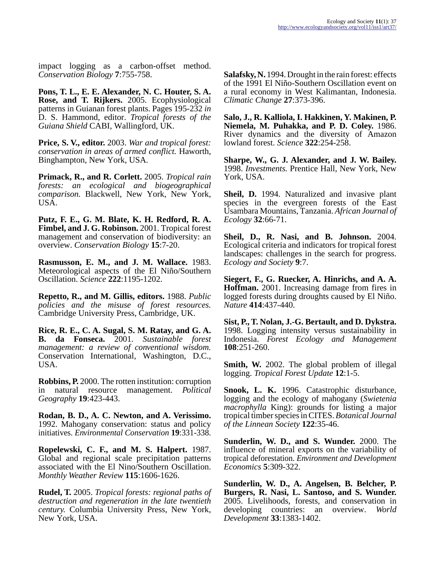impact logging as a carbon-offset method. *Conservation Biology* **7**:755-758.

**Pons, T. L., E. E. Alexander, N. C. Houter, S. A. Rose, and T. Rijkers.** 2005. Ecophysiological patterns in Guianan forest plants. Pages 195-232 *in* D. S. Hammond, editor. *Tropical forests of the Guiana Shield* CABI, Wallingford, UK.

**Price, S. V., editor.** 2003. *War and tropical forest: conservation in areas of armed conflict.* Haworth, Binghampton, New York, USA.

**Primack, R., and R. Corlett.** 2005. *Tropical rain forests: an ecological and biogeographical comparison.* Blackwell, New York, New York, USA.

**Putz, F. E., G. M. Blate, K. H. Redford, R. A. Fimbel, and J. G. Robinson.** 2001. Tropical forest management and conservation of biodiversity: an overview. *Conservation Biology* **15**:7-20.

**Rasmusson, E. M., and J. M. Wallace.** 1983. Meteorological aspects of the El Niño/Southern Oscillation. *Science* **222**:1195-1202.

**Repetto, R., and M. Gillis, editors.** 1988. *Public policies and the misuse of forest resources.* Cambridge University Press, Cambridge, UK.

**Rice, R. E., C. A. Sugal, S. M. Ratay, and G. A. B. da Fonseca.** 2001. *Sustainable forest management: a review of conventional wisdom.* Conservation International, Washington, D.C., USA.

**Robbins, P.** 2000. The rotten institution: corruption in natural resource management. *Political Geography* **19**:423-443.

**Rodan, B. D., A. C. Newton, and A. Verissimo.** 1992. Mahogany conservation: status and policy initiatives. *Environmental Conservation* **19**:331-338.

**Ropelewski, C. F., and M. S. Halpert.** 1987. Global and regional scale precipitation patterns associated with the El Nino/Southern Oscillation. *Monthly Weather Review* **115**:1606-1626.

**Rudel, T.** 2005. *Tropical forests: regional paths of destruction and regeneration in the late twentieth century.* Columbia University Press, New York, New York, USA.

**Salafsky, N.** 1994. Drought in the rain forest: effects of the 1991 El Niño-Southern Oscillation event on a rural economy in West Kalimantan, Indonesia. *Climatic Change* **27**:373-396.

**Salo, J., R. Kalliola, I. Hakkinen, Y. Makinen, P. Niemela, M. Puhakka, and P. D. Coley.** 1986. River dynamics and the diversity of Amazon lowland forest. *Science* **322**:254-258.

**Sharpe, W., G. J. Alexander, and J. W. Bailey.** 1998. *Investments.* Prentice Hall, New York, New York, USA.

**Sheil, D.** 1994. Naturalized and invasive plant species in the evergreen forests of the East Usambara Mountains, Tanzania. *African Journal of Ecology* **32**:66-71.

**Sheil, D., R. Nasi, and B. Johnson.** 2004. Ecological criteria and indicators for tropical forest landscapes: challenges in the search for progress. *Ecology and Society* **9**:7.

**Siegert, F., G. Ruecker, A. Hinrichs, and A. A. Hoffman.** 2001. Increasing damage from fires in logged forests during droughts caused by El Niño. *Nature* **414**:437-440.

**Sist, P., T. Nolan, J.-G. Bertault, and D. Dykstra.** 1998. Logging intensity versus sustainability in Indonesia. *Forest Ecology and Management* **108**:251-260.

**Smith, W.** 2002. The global problem of illegal logging. *Tropical Forest Update* **12**:1-5.

**Snook, L. K.** 1996. Catastrophic disturbance, logging and the ecology of mahogany (*Swietenia macrophylla* King): grounds for listing a major tropical timber species in CITES. *Botanical Journal of the Linnean Society* **122**:35-46.

**Sunderlin, W. D., and S. Wunder.** 2000. The influence of mineral exports on the variability of tropical deforestation. *Environment and Development Economics* **5**:309-322.

**Sunderlin, W. D., A. Angelsen, B. Belcher, P. Burgers, R. Nasi, L. Santoso, and S. Wunder.** 2005. Livelihoods, forests, and conservation in developing countries: an overview. *World Development* **33**:1383-1402.